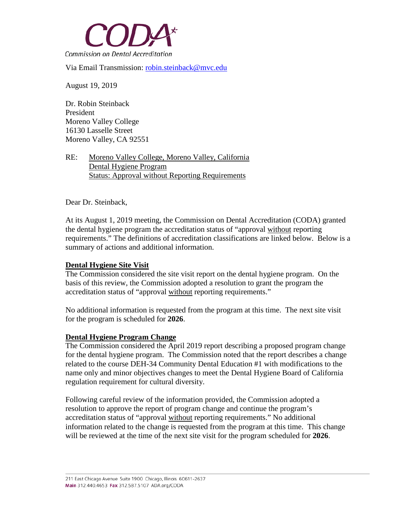

Via Email Transmission: [robin.steinback@mvc.edu](mailto:robin.steinback@mvc.edu)

August 19, 2019

Dr. Robin Steinback President Moreno Valley College 16130 Lasselle Street Moreno Valley, CA 92551

RE: Moreno Valley College, Moreno Valley, California Dental Hygiene Program Status: Approval without Reporting Requirements

Dear Dr. Steinback,

At its August 1, 2019 meeting, the Commission on Dental Accreditation (CODA) granted the dental hygiene program the accreditation status of "approval without reporting requirements." The definitions of accreditation classifications are linked below. Below is a summary of actions and additional information.

## **Dental Hygiene Site Visit**

The Commission considered the site visit report on the dental hygiene program. On the basis of this review, the Commission adopted a resolution to grant the program the accreditation status of "approval without reporting requirements."

No additional information is requested from the program at this time. The next site visit for the program is scheduled for **2026**.

## **Dental Hygiene Program Change**

The Commission considered the April 2019 report describing a proposed program change for the dental hygiene program. The Commission noted that the report describes a change related to the course DEH-34 Community Dental Education #1 with modifications to the name only and minor objectives changes to meet the Dental Hygiene Board of California regulation requirement for cultural diversity.

Following careful review of the information provided, the Commission adopted a resolution to approve the report of program change and continue the program's accreditation status of "approval without reporting requirements." No additional information related to the change is requested from the program at this time. This change will be reviewed at the time of the next site visit for the program scheduled for **2026**.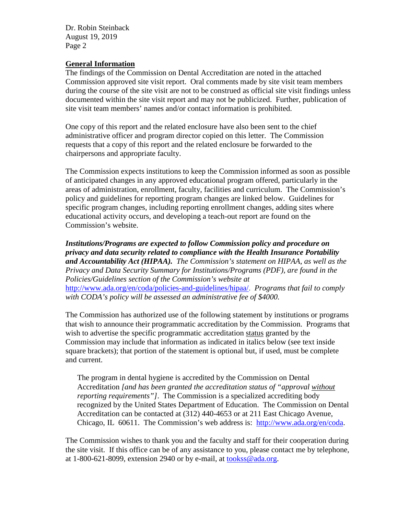Dr. Robin Steinback August 19, 2019 Page 2

## **General Information**

The findings of the Commission on Dental Accreditation are noted in the attached Commission approved site visit report. Oral comments made by site visit team members during the course of the site visit are not to be construed as official site visit findings unless documented within the site visit report and may not be publicized. Further, publication of site visit team members' names and/or contact information is prohibited.

One copy of this report and the related enclosure have also been sent to the chief administrative officer and program director copied on this letter. The Commission requests that a copy of this report and the related enclosure be forwarded to the chairpersons and appropriate faculty.

The Commission expects institutions to keep the Commission informed as soon as possible of anticipated changes in any approved educational program offered, particularly in the areas of administration, enrollment, faculty, facilities and curriculum. The Commission's policy and guidelines for reporting program changes are linked below. Guidelines for specific program changes, including reporting enrollment changes, adding sites where educational activity occurs, and developing a teach-out report are found on the Commission's website.

*Institutions/Programs are expected to follow Commission policy and procedure on privacy and data security related to compliance with the Health Insurance Portability and Accountability Act (HIPAA). The Commission's statement on HIPAA, as well as the Privacy and Data Security Summary for Institutions/Programs (PDF), are found in the Policies/Guidelines section of the Commission's website at*  [http://www.ada.org/en/coda/policies-and-guidelines/hipaa/.](http://www.ada.org/en/coda/policies-and-guidelines/hipaa/) *Programs that fail to comply with CODA's policy will be assessed an administrative fee of \$4000.*

The Commission has authorized use of the following statement by institutions or programs that wish to announce their programmatic accreditation by the Commission. Programs that wish to advertise the specific programmatic accreditation status granted by the Commission may include that information as indicated in italics below (see text inside square brackets); that portion of the statement is optional but, if used, must be complete and current.

The program in dental hygiene is accredited by the Commission on Dental Accreditation *[and has been granted the accreditation status of "approval without reporting requirements"]*. The Commission is a specialized accrediting body recognized by the United States Department of Education. The Commission on Dental Accreditation can be contacted at (312) 440-4653 or at 211 East Chicago Avenue, Chicago, IL 60611. The Commission's web address is: [http://www.ada.org/en/coda.](http://www.ada.org/en/coda)

The Commission wishes to thank you and the faculty and staff for their cooperation during the site visit. If this office can be of any assistance to you, please contact me by telephone, at 1-800-621-8099, extension 2940 or by e-mail, at [tookss@ada.org.](mailto:johnsond@ada.org)